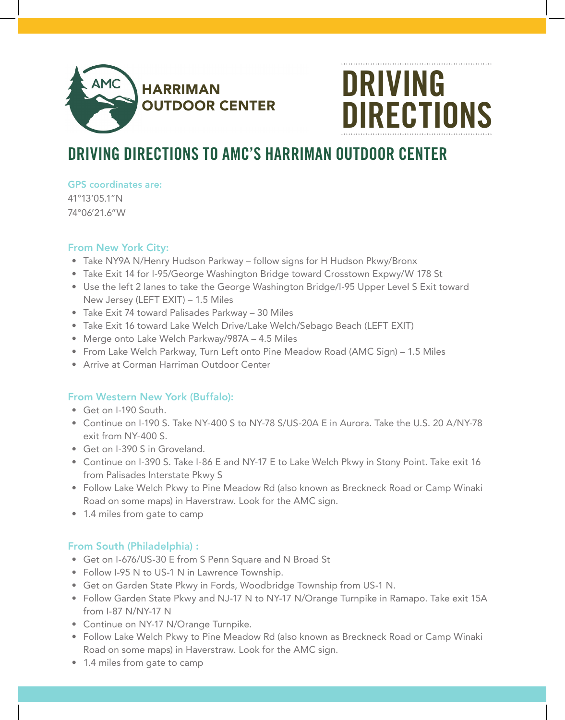

# DRIVING DIRECTIONS

# DRIVING DIRECTIONS TO AMC'S HARRIMAN OUTDOOR CENTER

GPS coordinates are:

41°13'05.1"N 74°06'21.6"W

## From New York City:

- Take NY9A N/Henry Hudson Parkway follow signs for H Hudson Pkwy/Bronx
- Take Exit 14 for I-95/George Washington Bridge toward Crosstown Expwy/W 178 St
- Use the left 2 lanes to take the George Washington Bridge/I-95 Upper Level S Exit toward New Jersey (LEFT EXIT) – 1.5 Miles
- Take Exit 74 toward Palisades Parkway 30 Miles
- Take Exit 16 toward Lake Welch Drive/Lake Welch/Sebago Beach (LEFT EXIT)
- Merge onto Lake Welch Parkway/987A 4.5 Miles
- From Lake Welch Parkway, Turn Left onto Pine Meadow Road (AMC Sign) 1.5 Miles
- Arrive at Corman Harriman Outdoor Center

### From Western New York (Buffalo):

- Get on I-190 South.
- Continue on I-190 S. Take NY-400 S to NY-78 S/US-20A E in Aurora. Take the U.S. 20 A/NY-78 exit from NY-400 S.
- Get on I-390 S in Groveland.
- Continue on I-390 S. Take I-86 E and NY-17 E to Lake Welch Pkwy in Stony Point. Take exit 16 from Palisades Interstate Pkwy S
- Follow Lake Welch Pkwy to Pine Meadow Rd (also known as Breckneck Road or Camp Winaki Road on some maps) in Haverstraw. Look for the AMC sign.
- 1.4 miles from gate to camp

## From South (Philadelphia) :

- Get on I-676/US-30 E from S Penn Square and N Broad St
- Follow I-95 N to US-1 N in Lawrence Township.
- Get on Garden State Pkwy in Fords, Woodbridge Township from US-1 N.
- Follow Garden State Pkwy and NJ-17 N to NY-17 N/Orange Turnpike in Ramapo. Take exit 15A from I-87 N/NY-17 N
- Continue on NY-17 N/Orange Turnpike.
- Follow Lake Welch Pkwy to Pine Meadow Rd (also known as Breckneck Road or Camp Winaki Road on some maps) in Haverstraw. Look for the AMC sign.
- 1.4 miles from gate to camp